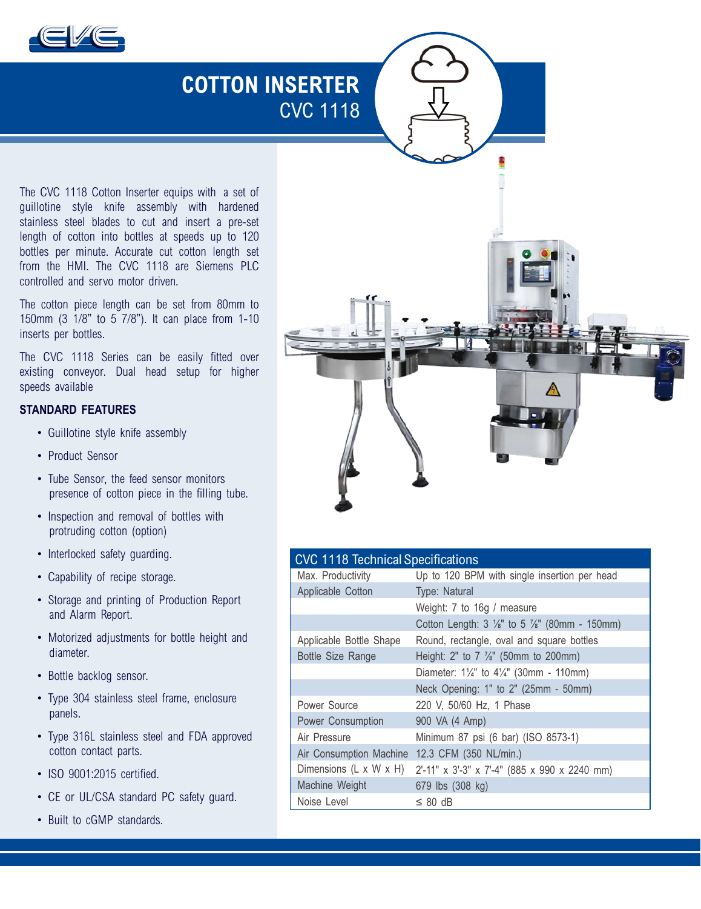

# CVC 1118 **COTTON INSERTER**

The CVC 1118 Cotton Inserter equips with a set of guillotine style knife assembly with hardened stainless steel blades to cut and insert a pre-set length of cotton into bottles at speeds up to 120 bottles per minute. Accurate cut cotton length set from the HMI. The CVC 1118 are Siemens PLC controlled and servo motor driven.

The cotton piece length can be set from 80mm to 150mm (3 1/8" to 5 7/8"). It can place from 1-10 inserts per bottles.

The CVC 1118 Series can be easily fitted over existing conveyor. Dual head setup for higher speeds available

#### **STANDARD FEATURES**

- Guillotine style knife assembly
- Product Sensor
- Tube Sensor, the feed sensor monitors presence of cotton piece in the filling tube.
- Inspection and removal of bottles with protruding cotton (option)
- Interlocked safety guarding.
- Capability of recipe storage.
- Storage and printing of Production Report and Alarm Report.
- Motorized adjustments for bottle height and diameter.
- Bottle backlog sensor.
- Type 304 stainless steel frame, enclosure panels.
- Type 316L stainless steel and FDA approved cotton contact parts.
- ISO 9001:2015 certified.
- CE or UL/CSA standard PC safety guard.
- Built to cGMP standards.



#### CVC 1118 Technical Specifications

| Max. Productivity                  | Up to 120 BPM with single insertion per head                       |
|------------------------------------|--------------------------------------------------------------------|
| Applicable Cotton                  | Type: Natural                                                      |
|                                    | Weight: 7 to 16g / measure                                         |
|                                    | Cotton Length: $3\frac{1}{8}$ " to $5\frac{7}{8}$ " (80mm - 150mm) |
| Applicable Bottle Shape            | Round, rectangle, oval and square bottles                          |
| Bottle Size Range                  | Height: 2" to 7 $\frac{7}{8}$ " (50mm to 200mm)                    |
|                                    | Diameter: $1\frac{1}{4}$ " to $4\frac{1}{4}$ " (30mm - 110mm)      |
|                                    | Neck Opening: 1" to 2" (25mm - 50mm)                               |
| Power Source                       | 220 V, 50/60 Hz, 1 Phase                                           |
| Power Consumption                  | 900 VA (4 Amp)                                                     |
| Air Pressure                       | Minimum 87 psi (6 bar) (ISO 8573-1)                                |
| Air Consumption Machine            | 12.3 CFM (350 NL/min.)                                             |
| Dimensions $(L \times W \times H)$ | 2'-11" x 3'-3" x 7'-4" (885 x 990 x 2240 mm)                       |
| Machine Weight                     | 679 lbs (308 kg)                                                   |
| Noise Level                        | $\leq$ 80 dB                                                       |